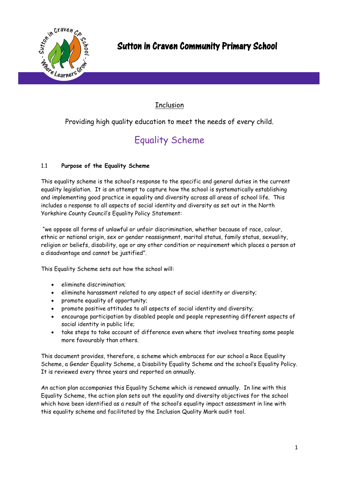

### **Inclusion**

Providing high quality education to meet the needs of every child.

# Equality Scheme

#### 1.1 **Purpose of the Equality Scheme**

This equality scheme is the school's response to the specific and general duties in the current equality legislation. It is an attempt to capture how the school is systematically establishing and implementing good practice in equality and diversity across all areas of school life. This includes a response to all aspects of social identity and diversity as set out in the North Yorkshire County Council's Equality Policy Statement:

"we oppose all forms of unlawful or unfair discrimination, whether because of race, colour, ethnic or national origin, sex or gender reassignment, marital status, family status, sexuality, religion or beliefs, disability, age or any other condition or requirement which places a person at a disadvantage and cannot be justified".

This Equality Scheme sets out how the school will:

- eliminate discrimination;
- eliminate harassment related to any aspect of social identity or diversity;
- promote equality of opportunity;
- promote positive attitudes to all aspects of social identity and diversity;
- encourage participation by disabled people and people representing different aspects of social identity in public life;
- take steps to take account of difference even where that involves treating some people more favourably than others.

This document provides, therefore, a scheme which embraces for our school a Race Equality Scheme, a Gender Equality Scheme, a Disability Equality Scheme and the school's Equality Policy. It is reviewed every three years and reported on annually.

An action plan accompanies this Equality Scheme which is renewed annually. In line with this Equality Scheme, the action plan sets out the equality and diversity objectives for the school which have been identified as a result of the school's equality impact assessment in line with this equality scheme and facilitated by the Inclusion Quality Mark audit tool.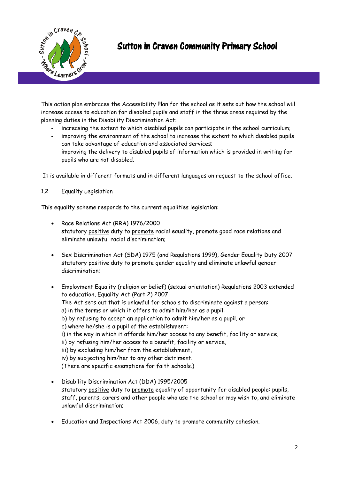

This action plan embraces the Accessibility Plan for the school as it sets out how the school will increase access to education for disabled pupils and staff in the three areas required by the planning duties in the Disability Discrimination Act:

- increasing the extent to which disabled pupils can participate in the school curriculum;
- improving the environment of the school to increase the extent to which disabled pupils can take advantage of education and associated services;
- improving the delivery to disabled pupils of information which is provided in writing for pupils who are not disabled.

It is available in different formats and in different languages on request to the school office.

#### 1.2 Equality Legislation

This equality scheme responds to the current equalities legislation:

- Race Relations Act (RRA) 1976/2000 statutory positive duty to promote racial equality, promote good race relations and eliminate unlawful racial discrimination;
- Sex Discrimination Act (SDA) 1975 (and Regulations 1999), Gender Equality Duty 2007 statutory positive duty to promote gender equality and eliminate unlawful gender discrimination;
- Employment Equality (religion or belief) (sexual orientation) Regulations 2003 extended to education, Equality Act (Part 2) 2007 The Act sets out that is unlawful for schools to discriminate against a person: a) in the terms on which it offers to admit him/her as a pupil: b) by refusing to accept an application to admit him/her as a pupil, or c) where he/she is a pupil of the establishment: i) in the way in which it affords him/her access to any benefit, facility or service, ii) by refusing him/her access to a benefit, facility or service, iii) by excluding him/her from the establishment, iv) by subjecting him/her to any other detriment. (There are specific exemptions for faith schools.)
- Disability Discrimination Act (DDA) 1995/2005 statutory positive duty to promote equality of opportunity for disabled people: pupils, staff, parents, carers and other people who use the school or may wish to, and eliminate unlawful discrimination;
- Education and Inspections Act 2006, duty to promote community cohesion.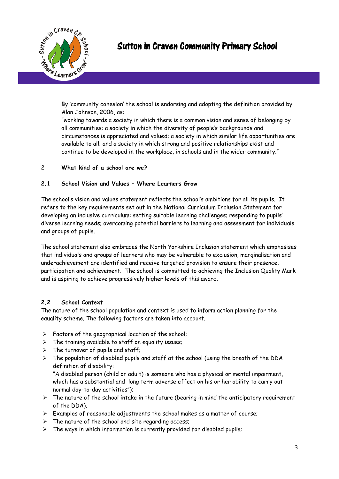

By 'community cohesion' the school is endorsing and adopting the definition provided by Alan Johnson, 2006, as:

"working towards a society in which there is a common vision and sense of belonging by all communities; a society in which the diversity of people's backgrounds and circumstances is appreciated and valued; a society in which similar life opportunities are available to all; and a society in which strong and positive relationships exist and continue to be developed in the workplace, in schools and in the wider community."

#### 2 **What kind of a school are we?**

#### **2.1 School Vision and Values – Where Learners Grow**

The school's vision and values statement reflects the school's ambitions for all its pupils. It refers to the key requirements set out in the National Curriculum Inclusion Statement for developing an inclusive curriculum: setting suitable learning challenges; responding to pupils' diverse learning needs; overcoming potential barriers to learning and assessment for individuals and groups of pupils.

The school statement also embraces the North Yorkshire Inclusion statement which emphasises that individuals and groups of learners who may be vulnerable to exclusion, marginalisation and underachievement are identified and receive targeted provision to ensure their presence, participation and achievement. The school is committed to achieving the Inclusion Quality Mark and is aspiring to achieve progressively higher levels of this award.

#### **2.2 School Context**

The nature of the school population and context is used to inform action planning for the equality scheme. The following factors are taken into account.

- $\triangleright$  Factors of the geographical location of the school;
- $\triangleright$  The training available to staff on equality issues;
- $\triangleright$  The turnover of pupils and staff;
- $\triangleright$  The population of disabled pupils and staff at the school (using the breath of the DDA definition of disability:

"A disabled person (child or adult) is someone who has a physical or mental impairment, which has a substantial and long term adverse effect on his or her ability to carry out normal day-to-day activities");

- $\triangleright$  The nature of the school intake in the future (bearing in mind the anticipatory requirement of the DDA).
- $\triangleright$  Examples of reasonable adjustments the school makes as a matter of course;
- $\triangleright$  The nature of the school and site regarding access;
- $\triangleright$  The ways in which information is currently provided for disabled pupils;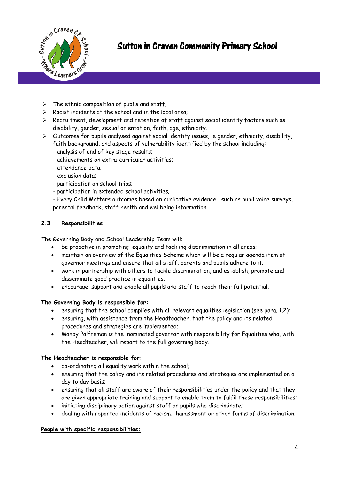

Sutton in Craven Community Primary School

- $\triangleright$  The ethnic composition of pupils and staff;
- $\triangleright$  Racist incidents at the school and in the local area;
- $\triangleright$  Recruitment, development and retention of staff against social identity factors such as disability, gender, sexual orientation, faith, age, ethnicity.
- $\triangleright$  Outcomes for pupils analysed against social identity issues, ie gender, ethnicity, disability, faith background, and aspects of vulnerability identified by the school including:
	- analysis of end of key stage results;
	- achievements on extra-curricular activities;
	- attendance data;
	- exclusion data;
	- participation on school trips;
	- participation in extended school activities;
	- Every Child Matters outcomes based on qualitative evidence such as pupil voice surveys, parental feedback, staff health and wellbeing information.

#### **2.3 Responsibilities**

The Governing Body and School Leadership Team will:

- be proactive in promoting equality and tackling discrimination in all areas;
- maintain an overview of the Equalities Scheme which will be a regular agenda item at governor meetings and ensure that all staff, parents and pupils adhere to it;
- work in partnership with others to tackle discrimination, and establish, promote and disseminate good practice in equalities;
- encourage, support and enable all pupils and staff to reach their full potential.

#### **The Governing Body is responsible for:**

- ensuring that the school complies with all relevant equalities legislation (see para. 1.2);
- ensuring, with assistance from the Headteacher, that the policy and its related procedures and strategies are implemented;
- Mandy Palfreman is the nominated governor with responsibility for Equalities who, with the Headteacher, will report to the full governing body.

#### **The Headteacher is responsible for:**

- co-ordinating all equality work within the school;
- ensuring that the policy and its related procedures and strategies are implemented on a day to day basis;
- ensuring that all staff are aware of their responsibilities under the policy and that they are given appropriate training and support to enable them to fulfil these responsibilities;
- initiating disciplinary action against staff or pupils who discriminate;
- dealing with reported incidents of racism, harassment or other forms of discrimination.

#### **People with specific responsibilities:**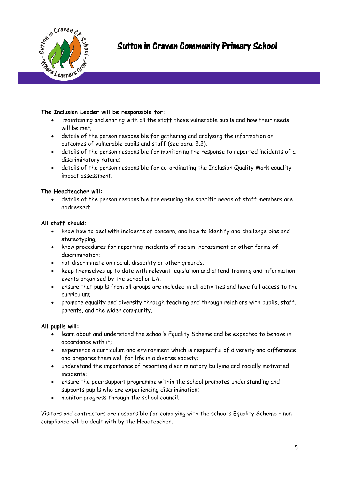

#### **The Inclusion Leader will be responsible for:**

- maintaining and sharing with all the staff those vulnerable pupils and how their needs will be met;
- details of the person responsible for gathering and analysing the information on outcomes of vulnerable pupils and staff (see para. 2.2).
- details of the person responsible for monitoring the response to reported incidents of a discriminatory nature;
- details of the person responsible for co-ordinating the Inclusion Quality Mark equality impact assessment.

#### **The Headteacher will:**

 details of the person responsible for ensuring the specific needs of staff members are addressed;

#### **All staff should:**

- know how to deal with incidents of concern, and how to identify and challenge bias and stereotyping;
- know procedures for reporting incidents of racism, harassment or other forms of discrimination;
- not discriminate on racial, disability or other grounds;
- keep themselves up to date with relevant legislation and attend training and information events organised by the school or LA;
- ensure that pupils from all groups are included in all activities and have full access to the curriculum;
- promote equality and diversity through teaching and through relations with pupils, staff, parents, and the wider community.

#### **All pupils will:**

- learn about and understand the school's Equality Scheme and be expected to behave in accordance with it;
- experience a curriculum and environment which is respectful of diversity and difference and prepares them well for life in a diverse society;
- understand the importance of reporting discriminatory bullying and racially motivated incidents;
- ensure the peer support programme within the school promotes understanding and supports pupils who are experiencing discrimination;
- monitor progress through the school council.

Visitors and contractors are responsible for complying with the school's Equality Scheme – noncompliance will be dealt with by the Headteacher.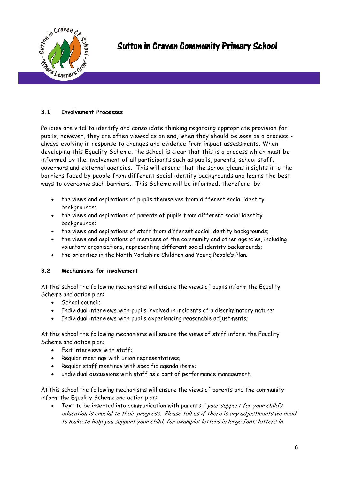

#### **3.1 Involvement Processes**

Policies are vital to identify and consolidate thinking regarding appropriate provision for pupils, however, they are often viewed as an end, when they should be seen as a process always evolving in response to changes and evidence from impact assessments. When developing this Equality Scheme, the school is clear that this is a process which must be informed by the involvement of all participants such as pupils, parents, school staff, governors and external agencies. This will ensure that the school gleans insights into the barriers faced by people from different social identity backgrounds and learns the best ways to overcome such barriers. This Scheme will be informed, therefore, by:

- the views and aspirations of pupils themselves from different social identity backgrounds;
- the views and aspirations of parents of pupils from different social identity backgrounds;
- the views and aspirations of staff from different social identity backgrounds;
- the views and aspirations of members of the community and other agencies, including voluntary organisations, representing different social identity backgrounds;
- the priorities in the North Yorkshire Children and Young People's Plan.

#### **3.2 Mechanisms for involvement**

At this school the following mechanisms will ensure the views of pupils inform the Equality Scheme and action plan:

- School council:
- Individual interviews with pupils involved in incidents of a discriminatory nature;
- Individual interviews with pupils experiencing reasonable adjustments;

At this school the following mechanisms will ensure the views of staff inform the Equality Scheme and action plan:

- Exit interviews with staff;
- Regular meetings with union representatives;
- Regular staff meetings with specific agenda items;
- Individual discussions with staff as a part of performance management.

At this school the following mechanisms will ensure the views of parents and the community inform the Equality Scheme and action plan:

• Text to be inserted into communication with parents: "your support for your child's education is crucial to their progress. Please tell us if there is any adjustments we need to make to help you support your child, for example: letters in large font; letters in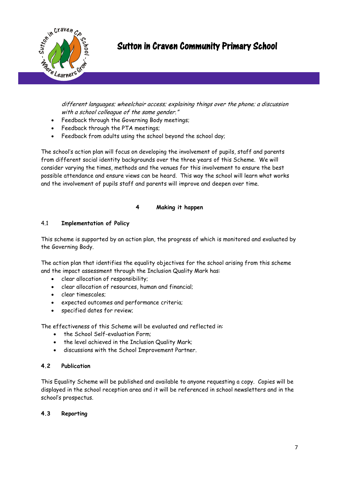

## Sutton in Craven Community Primary School

different languages; wheelchair access; explaining things over the phone; a discussion with a school colleague of the same gender."

- Feedback through the Governing Body meetings;
- Feedback through the PTA meetings;
- Feedback from adults using the school beyond the school day;

The school's action plan will focus on developing the involvement of pupils, staff and parents from different social identity backgrounds over the three years of this Scheme. We will consider varying the times, methods and the venues for this involvement to ensure the best possible attendance and ensure views can be heard. This way the school will learn what works and the involvement of pupils staff and parents will improve and deepen over time.

#### **4 Making it happen**

#### 4.1 **Implementation of Policy**

This scheme is supported by an action plan, the progress of which is monitored and evaluated by the Governing Body.

The action plan that identifies the equality objectives for the school arising from this scheme and the impact assessment through the Inclusion Quality Mark has:

- clear allocation of responsibility;
- clear allocation of resources, human and financial;
- clear timescales;
- expected outcomes and performance criteria;
- specified dates for review;

The effectiveness of this Scheme will be evaluated and reflected in:

- . the School Self-evaluation Form;
- the level achieved in the Inclusion Quality Mark;
- discussions with the School Improvement Partner.

#### **4.2 Publication**

This Equality Scheme will be published and available to anyone requesting a copy. Copies will be displayed in the school reception area and it will be referenced in school newsletters and in the school's prospectus.

#### **4.3 Reporting**